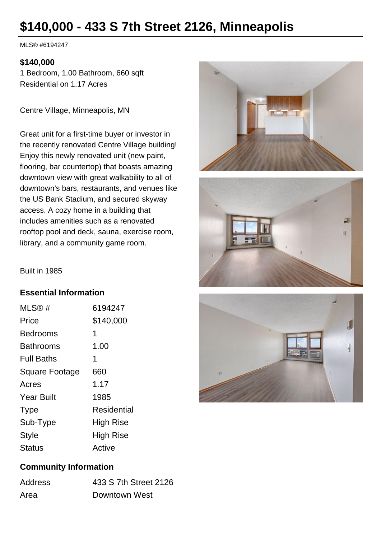# **\$140,000 - 433 S 7th Street 2126, Minneapolis**

MLS® #6194247

#### **\$140,000**

1 Bedroom, 1.00 Bathroom, 660 sqft Residential on 1.17 Acres

Centre Village, Minneapolis, MN

Great unit for a first-time buyer or investor in the recently renovated Centre Village building! Enjoy this newly renovated unit (new paint, flooring, bar countertop) that boasts amazing downtown view with great walkability to all of downtown's bars, restaurants, and venues like the US Bank Stadium, and secured skyway access. A cozy home in a building that includes amenities such as a renovated rooftop pool and deck, sauna, exercise room, library, and a community game room.





Built in 1985

#### **Essential Information**

| MLS@#             | 6194247     |
|-------------------|-------------|
| Price             | \$140,000   |
| Bedrooms          | 1           |
| Bathrooms         | 1.00        |
| <b>Full Baths</b> | 1           |
| Square Footage    | 660         |
| Acres             | 1.17        |
| <b>Year Built</b> | 1985        |
| <b>Type</b>       | Residential |
| Sub-Type          | High Rise   |
| <b>Style</b>      | High Rise   |
| Status            | Active      |



## **Community Information**

| <b>Address</b> | 433 S 7th Street 2126 |
|----------------|-----------------------|
| Area           | Downtown West         |